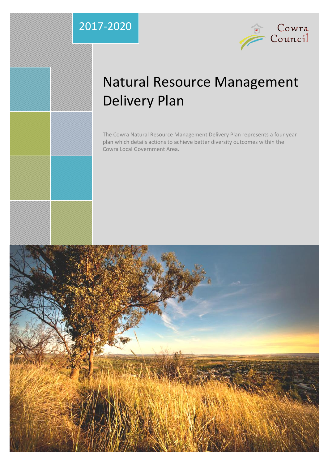### 2017-2020



### Natural Resource Management Delivery Plan

The Cowra Natural Resource Management Delivery Plan represents a four year plan which details actions to achieve better diversity outcomes within the Cowra Local Government Area.

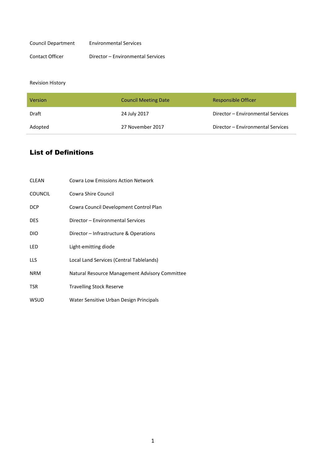| Council Department | <b>Environmental Services</b>     |
|--------------------|-----------------------------------|
| Contact Officer    | Director - Environmental Services |

#### Revision History

| <b>Version</b> | <b>Council Meeting Date</b> | <b>Responsible Officer</b>        |
|----------------|-----------------------------|-----------------------------------|
| Draft          | 24 July 2017                | Director - Environmental Services |
| Adopted        | 27 November 2017            | Director - Environmental Services |

#### List of Definitions

| <b>CLEAN</b>   | <b>Cowra Low Emissions Action Network</b>      |
|----------------|------------------------------------------------|
| <b>COUNCIL</b> | Cowra Shire Council                            |
| <b>DCP</b>     | Cowra Council Development Control Plan         |
| <b>DES</b>     | Director - Environmental Services              |
| DIO            | Director – Infrastructure & Operations         |
| LED            | Light-emitting diode                           |
| LLS            | Local Land Services (Central Tablelands)       |
| <b>NRM</b>     | Natural Resource Management Advisory Committee |
| <b>TSR</b>     | <b>Travelling Stock Reserve</b>                |
| <b>WSUD</b>    | Water Sensitive Urban Design Principals        |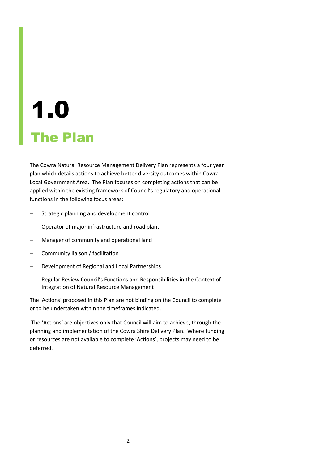# 1.0 The Plan

The Cowra Natural Resource Management Delivery Plan represents a four year plan which details actions to achieve better diversity outcomes within Cowra Local Government Area. The Plan focuses on completing actions that can be applied within the existing framework of Council's regulatory and operational functions in the following focus areas:

- Strategic planning and development control
- Operator of major infrastructure and road plant
- Manager of community and operational land
- Community liaison / facilitation
- Development of Regional and Local Partnerships
- Regular Review Council's Functions and Responsibilities in the Context of Integration of Natural Resource Management

The 'Actions' proposed in this Plan are not binding on the Council to complete or to be undertaken within the timeframes indicated.

The 'Actions' are objectives only that Council will aim to achieve, through the planning and implementation of the Cowra Shire Delivery Plan. Where funding or resources are not available to complete 'Actions', projects may need to be deferred.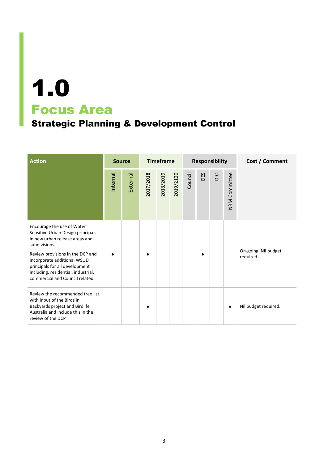### Strategic Planning & Development Control

| <b>Action</b>                                                                                                                                                                                                                                                                                     | <b>Source</b> |          |           | <b>Timeframe</b> |           | <b>Responsibility</b> |     |             |               | Cost / Comment                    |
|---------------------------------------------------------------------------------------------------------------------------------------------------------------------------------------------------------------------------------------------------------------------------------------------------|---------------|----------|-----------|------------------|-----------|-----------------------|-----|-------------|---------------|-----------------------------------|
|                                                                                                                                                                                                                                                                                                   | Internal      | External | 2017/2018 | 2018/2019        | 2019/2120 | Council               | DES | $rac{1}{2}$ | NRM Committee |                                   |
| Encourage the use of Water<br>Sensitive Urban Design principals<br>in new urban release areas and<br>subdivisions:<br>Review provisions in the DCP and<br>incorporate additional WSUD<br>principals for all development<br>including, residential, industrial,<br>commercial and Council related. |               |          |           |                  |           |                       |     |             |               | On-going. Nil budget<br>required. |
| Review the recommended tree list<br>with input of the Birds in<br>Backyards project and Birdlife<br>Australia and include this in the<br>review of the DCP                                                                                                                                        |               |          |           |                  |           |                       |     |             | $\bullet$     | Nil budget required.              |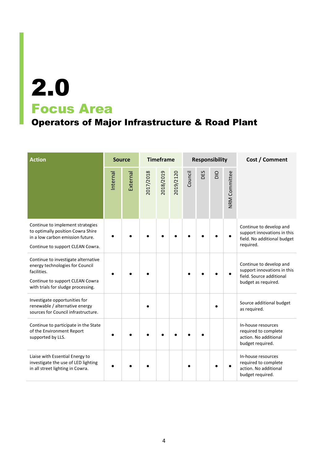### Operators of Major Infrastructure & Road Plant

| <b>Action</b>                                                                                                                                                  | <b>Source</b> |          |           | <b>Timeframe</b> |           |         | <b>Responsibility</b> |     |               | Cost / Comment                                                                                            |
|----------------------------------------------------------------------------------------------------------------------------------------------------------------|---------------|----------|-----------|------------------|-----------|---------|-----------------------|-----|---------------|-----------------------------------------------------------------------------------------------------------|
|                                                                                                                                                                | Internal      | External | 2017/2018 | 2018/2019        | 2019/2120 | Council | DES                   | DIO | NRM Committee |                                                                                                           |
| Continue to implement strategies<br>to optimally position Cowra Shire<br>in a low carbon emission future.<br>Continue to support CLEAN Cowra.                  |               |          |           |                  |           |         |                       |     |               | Continue to develop and<br>support innovations in this<br>field. No additional budget<br>required.        |
| Continue to investigate alternative<br>energy technologies for Council<br>facilities.<br>Continue to support CLEAN Cowra<br>with trials for sludge processing. |               |          |           |                  |           |         |                       |     |               | Continue to develop and<br>support innovations in this<br>field. Source additional<br>budget as required. |
| Investigate opportunities for<br>renewable / alternative energy<br>sources for Council infrastructure.                                                         |               |          |           |                  |           |         |                       |     |               | Source additional budget<br>as required.                                                                  |
| Continue to participate in the State<br>of the Environment Report<br>supported by LLS.                                                                         |               |          |           |                  |           |         |                       |     |               | In-house resources<br>required to complete<br>action. No additional<br>budget required.                   |
| Liaise with Essential Energy to<br>investigate the use of LED lighting<br>in all street lighting in Cowra.                                                     |               |          |           |                  |           |         |                       |     |               | In-house resources<br>required to complete<br>action. No additional<br>budget required.                   |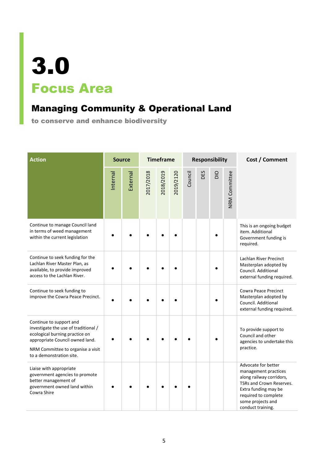### Managing Community & Operational Land

to conserve and enhance biodiversity

| <b>Action</b>                                                                                                                                                                                         | <b>Source</b> |          | <b>Timeframe</b> |           |           | <b>Responsibility</b> |     |     |                      | Cost / Comment                                                                                                                                                                                |
|-------------------------------------------------------------------------------------------------------------------------------------------------------------------------------------------------------|---------------|----------|------------------|-----------|-----------|-----------------------|-----|-----|----------------------|-----------------------------------------------------------------------------------------------------------------------------------------------------------------------------------------------|
|                                                                                                                                                                                                       | Internal      | External | 2017/2018        | 2018/2019 | 2019/2120 | Council               | DES | DIO | <b>NRM Committee</b> |                                                                                                                                                                                               |
| Continue to manage Council land<br>in terms of weed management<br>within the current legislation                                                                                                      |               |          |                  |           |           |                       |     |     |                      | This is an ongoing budget<br>item. Additional<br>Government funding is<br>required.                                                                                                           |
| Continue to seek funding for the<br>Lachlan River Master Plan, as<br>available, to provide improved<br>access to the Lachlan River.                                                                   |               |          |                  |           |           |                       |     |     |                      | Lachlan River Precinct<br>Masterplan adopted by<br>Council. Additional<br>external funding required.                                                                                          |
| Continue to seek funding to<br>improve the Cowra Peace Precinct.                                                                                                                                      |               |          |                  |           |           |                       |     |     |                      | <b>Cowra Peace Precinct</b><br>Masterplan adopted by<br>Council. Additional<br>external funding required.                                                                                     |
| Continue to support and<br>investigate the use of traditional /<br>ecological burning practice on<br>appropriate Council owned land.<br>NRM Committee to organise a visit<br>to a demonstration site. |               |          |                  |           |           |                       |     |     |                      | To provide support to<br>Council and other<br>agencies to undertake this<br>practice.                                                                                                         |
| Liaise with appropriate<br>government agencies to promote<br>better management of<br>government owned land within<br>Cowra Shire                                                                      |               |          |                  |           |           |                       |     |     |                      | Advocate for better<br>management practices<br>along railway corridors,<br>TSRs and Crown Reserves.<br>Extra funding may be<br>required to complete<br>some projects and<br>conduct training. |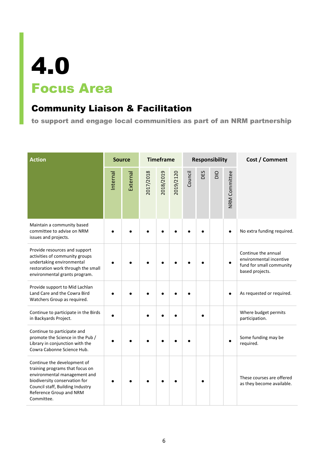#### Community Liaison & Facilitation

to support and engage local communities as part of an NRM partnership

| <b>Action</b>                                                                                                                                                                                                | <b>Source</b> |          | <b>Timeframe</b> |           |           | <b>Responsibility</b> |     |     |               | Cost / Comment                                                                                |
|--------------------------------------------------------------------------------------------------------------------------------------------------------------------------------------------------------------|---------------|----------|------------------|-----------|-----------|-----------------------|-----|-----|---------------|-----------------------------------------------------------------------------------------------|
|                                                                                                                                                                                                              | Internal      | External | 2017/2018        | 2018/2019 | 2019/2120 | Council               | DES | DIO | NRM Committee |                                                                                               |
| Maintain a community based<br>committee to advise on NRM<br>issues and projects.                                                                                                                             |               |          |                  |           |           |                       |     |     |               | No extra funding required.                                                                    |
| Provide resources and support<br>activities of community groups<br>undertaking environmental<br>restoration work through the small<br>environmental grants program.                                          |               |          |                  |           |           |                       |     |     | $\bullet$     | Continue the annual<br>environmental incentive<br>fund for small community<br>based projects. |
| Provide support to Mid Lachlan<br>Land Care and the Cowra Bird<br>Watchers Group as required.                                                                                                                |               |          |                  |           |           |                       |     |     |               | As requested or required.                                                                     |
| Continue to participate in the Birds<br>in Backyards Project.                                                                                                                                                |               |          |                  |           |           |                       |     |     |               | Where budget permits<br>participation.                                                        |
| Continue to participate and<br>promote the Science in the Pub /<br>Library in conjunction with the<br>Cowra Cabonne Science Hub.                                                                             |               |          |                  |           |           |                       |     |     |               | Some funding may be<br>required.                                                              |
| Continue the development of<br>training programs that focus on<br>environmental management and<br>biodiversity conservation for<br>Council staff, Building Industry<br>Reference Group and NRM<br>Committee. |               |          |                  |           |           |                       |     |     |               | These courses are offered<br>as they become available.                                        |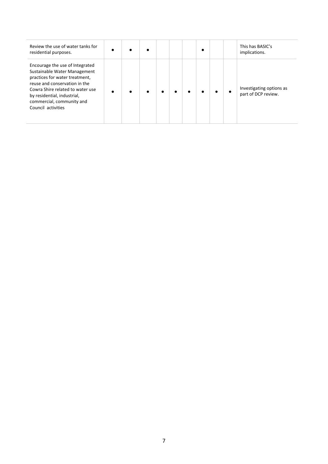| Review the use of water tanks for<br>residential purposes.                                                                                                                                                                                               |           |  |  |  |  | This has BASIC's<br>implications.               |
|----------------------------------------------------------------------------------------------------------------------------------------------------------------------------------------------------------------------------------------------------------|-----------|--|--|--|--|-------------------------------------------------|
| Encourage the use of Integrated<br>Sustainable Water Management<br>practices for water treatment,<br>reuse and conservation in the<br>Cowra Shire related to water use<br>by residential, industrial,<br>commercial, community and<br>Council activities | $\bullet$ |  |  |  |  | Investigating options as<br>part of DCP review. |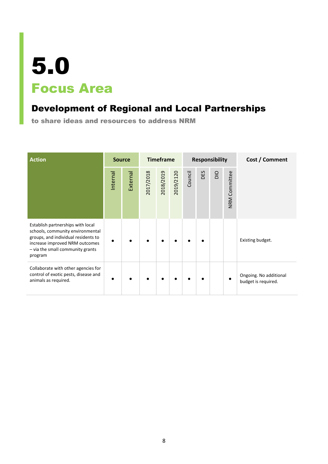#### Development of Regional and Local Partnerships

to share ideas and resources to address NRM

| <b>Action</b>                                                                                                                                                                                 |          | <b>Source</b> |           | <b>Timeframe</b> |           |         |     | <b>Responsibility</b> |               | Cost / Comment                                |
|-----------------------------------------------------------------------------------------------------------------------------------------------------------------------------------------------|----------|---------------|-----------|------------------|-----------|---------|-----|-----------------------|---------------|-----------------------------------------------|
|                                                                                                                                                                                               | Internal | External      | 2017/2018 | 2018/2019        | 2019/2120 | Council | DES | DIO                   | NRM Committee |                                               |
| Establish partnerships with local<br>schools, community environmental<br>groups, and individual residents to<br>increase improved NRM outcomes<br>- via the small community grants<br>program |          |               |           |                  |           |         |     |                       |               | Existing budget.                              |
| Collaborate with other agencies for<br>control of exotic pests, disease and<br>animals as required.                                                                                           |          |               |           |                  |           |         |     |                       | $\bullet$     | Ongoing. No additional<br>budget is required. |